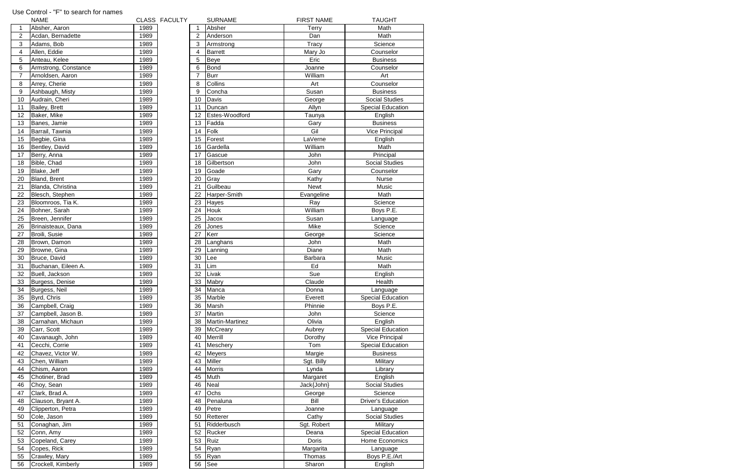|                 | <b>NAME</b>          |      | CLASS FACULTY |                | <b>SURNAME</b>  | <b>FIRST NAME</b> | <b>TAUGHT</b>             |
|-----------------|----------------------|------|---------------|----------------|-----------------|-------------------|---------------------------|
| $\overline{1}$  | Absher, Aaron        | 1989 |               | 1              | Absher          | <b>Terry</b>      | Math                      |
| $\overline{2}$  | Acdan, Bernadette    | 1989 |               | 2              | Anderson        | Dan               | Math                      |
| $\sqrt{3}$      | Adams, Bob           | 1989 |               | 3              | Armstrong       | Tracy             | Science                   |
| $\overline{4}$  | Allen, Eddie         | 1989 |               | 4              | <b>Barrett</b>  | Mary Jo           | Counselor                 |
| 5               | Anteau, Kelee        | 1989 |               | 5              | <b>Beye</b>     | Eric              | <b>Business</b>           |
| $6\phantom{1}6$ | Armstrong, Constance | 1989 |               | 6              | <b>Bond</b>     | Joanne            | Counselor                 |
| $\overline{7}$  | Arnoldsen, Aaron     | 1989 |               | $\overline{7}$ | <b>Burr</b>     | William           | Art                       |
| 8               | Arrey, Cherie        | 1989 |               | 8              | Collins         | Art               | Counselor                 |
| $9\,$           | Ashbaugh, Misty      | 1989 |               | 9              | Concha          | Susan             | <b>Business</b>           |
| 10 <sup>1</sup> | Audrain, Cheri       | 1989 |               | 10             | Davis           | George            | <b>Social Studies</b>     |
| 11              | Bailey, Brett        | 1989 |               | 11             | Duncan          | Allyn             | <b>Special Education</b>  |
| 12 <sub>2</sub> | Baker, Mike          | 1989 |               | 12             | Estes-Woodford  | Taunya            | English                   |
| 13              | Banes, Jamie         | 1989 |               | 13             | Fadda           | Gary              | <b>Business</b>           |
| 14              | Barrail, Tawnia      | 1989 |               | 14             | Folk            | Gil               | Vice Principal            |
| 15 <sub>1</sub> | Begbie, Gina         | 1989 |               | 15             | Forest          | LaVerne           | English                   |
| 16              | Bentley, David       | 1989 |               | 16             | Gardella        | William           | Math                      |
| 17              | Berry, Anna          | 1989 |               | 17             | Gascue          | John              | Principal                 |
| 18              | Bible, Chad          | 1989 |               | 18             | Gilbertson      | John              | <b>Social Studies</b>     |
| 19              | Blake, Jeff          | 1989 |               | 19             | Goade           | Gary              | Counselor                 |
| 20              | Bland, Brent         | 1989 |               | 20             | Gray            | Kathy             | Nurse                     |
| 21              | Blanda, Christina    | 1989 |               | 21             | Guilbeau        | Newt              | Music                     |
| 22              | Blesch, Stephen      | 1989 |               | 22             | Harper-Smith    | Evangeline        | Math                      |
| 23              | Bloomroos, Tia K.    | 1989 |               | 23             | Hayes           | Ray               | Science                   |
| 24              | Bohner, Sarah        | 1989 |               | 24             | Houk            | William           | Boys P.E.                 |
| 25              | Breen, Jennifer      | 1989 |               | 25             | Jacox           | Susan             | Language                  |
| 26              | Brinaisteaux, Dana   | 1989 |               | 26             | Jones           | Mike              | Science                   |
| 27              | Broili, Susie        | 1989 |               | 27             | Kerr            | George            | Science                   |
| 28              | Brown, Damon         | 1989 |               | 28             | Langhans        | John              | Math                      |
| 29              | Browne, Gina         | 1989 |               | 29             | Lanning         | Diane             | Math                      |
| 30              | Bruce, David         | 1989 |               | 30             | Lee             | Barbara           | Music                     |
| 31              | Buchanan, Eileen A.  | 1989 |               | 31             | Lim             | Ed                | Math                      |
| 32              | Buell, Jackson       | 1989 |               | 32             | Livak           | Sue               | English                   |
| 33              | Burgess, Denise      | 1989 |               | 33             | Mabry           | Claude            | Health                    |
| 34              | Burgess, Neil        | 1989 |               | 34             | Manca           | Donna             | Language                  |
| 35              | Byrd, Chris          | 1989 |               | 35             | Marble          | Everett           | <b>Special Education</b>  |
| 36              | Campbell, Craig      | 1989 |               | 36             | Marsh           | Phinnie           | Boys P.E.                 |
| 37              | Campbell, Jason B.   | 1989 |               | 37             | Martin          | John              | Science                   |
| 38              | Carnahan, Michaun    | 1989 |               | 38             | Martin-Martinez | Olivia            | English                   |
| 39              | Carr, Scott          | 1989 |               | 39             | <b>McCreary</b> | Aubrey            | <b>Special Education</b>  |
| 40              | Cavanaugh, John      | 1989 |               | 40             | Merrill         | Dorothy           | Vice Principal            |
| 41              | Cecchi, Corrie       | 1989 |               | 41             | Meschery        | Tom               | <b>Special Education</b>  |
| 42              | Chavez, Victor W.    | 1989 |               | 42             | <b>Meyers</b>   | Margie            | <b>Business</b>           |
| 43              | Chen, William        | 1989 |               | 43             | <b>Miller</b>   | Sgt. Billy        | Military                  |
| 44              | Chism, Aaron         | 1989 |               | 44             | <b>Morris</b>   | Lynda             | Library                   |
| 45              | Chotiner, Brad       | 1989 |               | 45             | Muth            | Margaret          | English                   |
| 46              | Choy, Sean           | 1989 |               | 46             | Neal            | Jack{John}        | <b>Social Studies</b>     |
| 47              | Clark, Brad A.       | 1989 |               | 47             | Ochs            | George            | Science                   |
| 48              | Clauson, Bryant A.   | 1989 |               | 48             | Penaluna        | Bill              | <b>Driver's Education</b> |
| 49              | Clipperton, Petra    | 1989 |               | 49             | Petre           | Joanne            | Language                  |
| 50              | Cole, Jason          | 1989 |               | 50             | Retterer        | Cathy             | Social Studies            |
| 51              | Conaghan, Jim        | 1989 |               | 51             | Ridderbusch     | Sgt. Robert       | Military                  |
| 52              | Conn, Amy            | 1989 |               | 52             | Rucker          | Deana             | <b>Special Education</b>  |
| 53              | Copeland, Carey      | 1989 |               | 53             | Ruiz            | Doris             | Home Economics            |
| 54              | Copes, Rick          | 1989 |               | 54             | Ryan            | Margarita         | Language                  |
| 55              | Crawley, Mary        | 1989 |               | 55             | Ryan            | Thomas            | Boys P.E./Art             |
| 56              | Crockell, Kimberly   | 1989 |               | 56             | See             | Sharon            | English                   |

## Use Control - "F" to search for names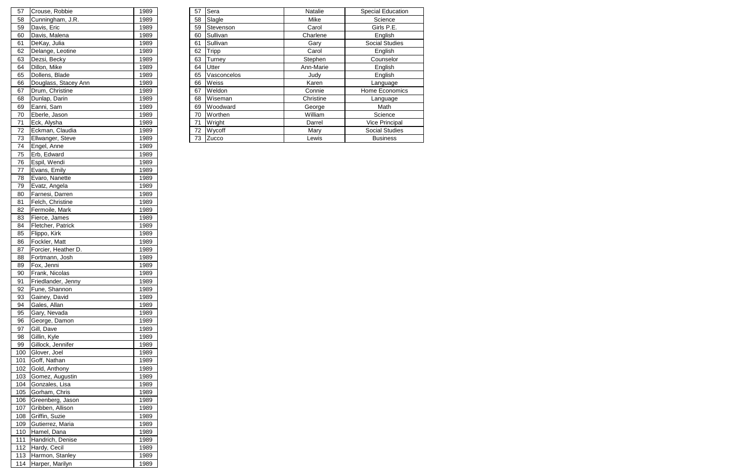| 57 | Crouse, Robbie       | 1989  | 57 | Sera         | <b>Natalie</b> | <b>Special Education</b> |
|----|----------------------|-------|----|--------------|----------------|--------------------------|
| 58 | Cunningham, J.R.     | 1989  | 58 | Slagle       | Mike           | Science                  |
| 59 | Davis, Eric          | 1989  | 59 | Stevenson    | Carol          | Girls P.E.               |
| 60 | Davis, Malena        | 1989  | 60 | Sullivan     | Charlene       | English                  |
| 61 | DeKay, Julia         | 1989  | 61 | Sullivan     | Gary           | <b>Social Studies</b>    |
| 62 | Delange, Leotine     | 1989. | 62 | <b>Tripp</b> | Carol          | English                  |
| 63 | Dezsi, Becky         | 1989  | 63 | Turney       | Stephen        | Counselor                |
| 64 | Dillon, Mike         | 1989  | 64 | Utter        | Ann-Marie      | English                  |
| 65 | Dollens, Blade       | 1989  | 65 | Vasconcelos  | Judy           | English                  |
| 66 | Douglass, Stacey Ann | 1989  | 66 | Weiss        | Karen          | Language                 |
| 67 | Drum, Christine      | 1989  | 67 | Weldon       | Connie         | Home Economics           |
| 68 | Dunlap, Darin        | 1989  | 68 | Wiseman      | Christine      | Language                 |
| 69 | Eanni, Sam           | 1989  | 69 | Woodward     | George         | Math                     |
| 70 | Eberle, Jason        | 1989  | 70 | Worthen      | William        | Science                  |
| 71 | Eck, Alysha          | 1989  | 71 | Wright       | Darrel         | <b>Vice Principal</b>    |
| 72 | Eckman, Claudia      | 1989  | 72 | Wycoff       | Mary           | <b>Social Studies</b>    |
| 73 | Ellwanger, Steve     | 1989  |    | 73 Zucco     | Lewis          | <b>Business</b>          |
|    |                      |       |    |              |                |                          |

| 57  | Crouse, Robbie       | 1989 |
|-----|----------------------|------|
| 58  | Cunningham, J.R.     | 1989 |
| 59  | Davis, Eric          | 1989 |
| 60  | Davis, Malena        | 1989 |
| 61  | DeKay, Julia         | 1989 |
| 62  | Delange, Leotine     | 1989 |
| 63  | Dezsi, Becky         | 1989 |
| 64  | Dillon, Mike         | 1989 |
| 65  | Dollens, Blade       | 1989 |
| 66  | Douglass, Stacey Ann | 1989 |
| 67  | Drum, Christine      | 1989 |
| 68  | Dunlap, Darin        | 1989 |
| 69  | Eanni, Sam           | 1989 |
| 70  | Eberle, Jason        | 1989 |
| 71  | Eck, Alysha          | 1989 |
| 72  | Eckman, Claudia      | 1989 |
| 73  | Ellwanger, Steve     | 1989 |
| 74  | Engel, Anne          | 1989 |
| 75  | Erb, Edward          | 1989 |
| 76  | Espil, Wendi         | 1989 |
| 77  | Evans, Emily         | 1989 |
| 78  | Evaro, Nanette       | 1989 |
| 79  | Evatz, Angela        | 1989 |
| 80  | Farnesi, Darren      | 1989 |
| 81  | Felch, Christine     | 1989 |
| 82  | Fermoile, Mark       | 1989 |
| 83  | Fierce, James        | 1989 |
| 84  | Fletcher, Patrick    | 1989 |
| 85  | Flippo, Kirk         | 1989 |
| 86  | Fockler, Matt        | 1989 |
| 87  | Forcier, Heather D.  | 1989 |
| 88  | Fortmann, Josh       | 1989 |
| 89  | Fox, Jenni           | 1989 |
| 90  | Frank, Nicolas       | 1989 |
| 91  | Friedlander, Jenny   | 1989 |
| 92  | Fune, Shannon        | 1989 |
| 93  | Gainey, David        | 1989 |
| 94  | Gales, Allan         | 1989 |
| 95  | Gary, Nevada         | 1989 |
| 96  | George, Damon        | 1989 |
| 97  | Gill, Dave           | 1989 |
| 98  | Gillin, Kyle         | 1989 |
| 99  | Gillock, Jennifer    | 1989 |
| 100 | Glover, Joel         | 1989 |
| 101 | Goff, Nathan         | 1989 |
| 102 | Gold, Anthony        | 1989 |
| 103 | Gomez, Augustin      | 1989 |
| 104 | Gonzales, Lisa       | 1989 |
| 105 | Gorham, Chris        | 1989 |
| 106 | Greenberg, Jason     | 1989 |
| 107 | Gribben, Allison     | 1989 |
| 108 | Griffin, Suzie       | 1989 |
| 109 | Gutierrez, Maria     | 1989 |
| 110 | Hamel, Dana          | 1989 |
| 111 | Handrich, Denise     | 1989 |
| 112 | Hardy, Cecil         | 1989 |
| 113 | Harmon, Stanley      | 1989 |
| 114 | Harper, Marilyn      | 1989 |
|     |                      |      |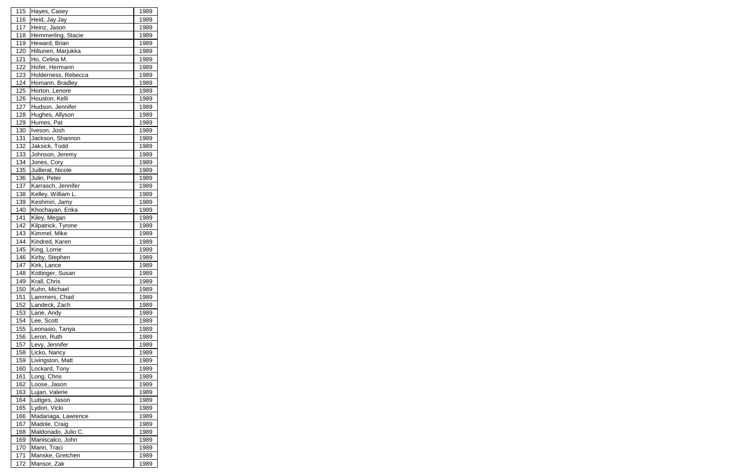| 115 | Hayes, Casey        | 1989 |
|-----|---------------------|------|
| 116 | Heid, Jay Jay       | 1989 |
| 117 | Heinz, Jason        | 1989 |
| 118 | Hemmerling, Stacie  | 1989 |
| 119 | Heward, Brian       | 1989 |
| 120 | Hiltunen, Marjukka  | 1989 |
| 121 | Ho, Celina M.       | 1989 |
| 122 | Hofer, Hermann      | 1989 |
| 123 | Holderness, Rebecca | 1989 |
| 124 | Homann, Bradley     | 1989 |
| 125 | Horton, Lenore      | 1989 |
| 126 | Houston, Kelli      | 1989 |
| 127 | Hudson, Jennifer    | 1989 |
| 128 | Hughes, Allyson     | 1989 |
| 129 | Humes, Pat          | 1989 |
| 130 | Iveson, Josh        | 1989 |
| 131 | Jackson, Shannon    | 1989 |
| 132 | Jaksick, Todd       | 1989 |
| 133 | Johnson, Jeremy     | 1989 |
| 134 |                     | 1989 |
|     | Jones, Cory         |      |
| 135 | Juillerat, Nicole   | 1989 |
| 136 | Julin, Peter        | 1989 |
| 137 | Karrasch, Jennifer  | 1989 |
| 138 | Kelley, William L.  | 1989 |
| 139 | Keshmiri, Jamy      | 1989 |
| 140 | Khochayan, Erika    | 1989 |
| 141 | Kiley, Megan        | 1989 |
| 142 | Kilpatrick, Tyrone  | 1989 |
| 143 | Kimmel, Mike        | 1989 |
| 144 | Kindred, Karen      | 1989 |
| 145 | King, Lorrie        | 1989 |
| 146 | Kirby, Stephen      | 1989 |
| 147 | Kirk, Lance         | 1989 |
| 148 | Kottinger, Susan    | 1989 |
| 149 | Krall, Chris        | 1989 |
| 150 | Kuhn, Michael       | 1989 |
| 151 | Lammers, Chad       | 1989 |
| 152 | Landeck, Zach       | 1989 |
| 153 | Lane, Andy          | 1989 |
| 154 | Lee, Scott          | 1989 |
| 155 | Leonasio, Tanya     | 1989 |
| 156 | Leron, Ruth         | 1989 |
| 157 | Levy, Jennifer      | 1989 |
| 158 | Licko, Nancy        | 1989 |
| 159 | Livingston, Matt    | 1989 |
| 160 | Lockard, Tony       | 1989 |
| 161 | Long, Chris         | 1989 |
| 162 | Loose, Jason        | 1989 |
| 163 | Lujan, Valerie      | 1989 |
| 164 | Luttges, Jason      | 1989 |
| 165 | Lydon, Vicki        | 1989 |
| 166 | Madariaga, Lawrence | 1989 |
| 167 | Madole, Craig       | 1989 |
| 168 | Maldonado, Julio C. | 1989 |
| 169 | Maniscalco, John    | 1989 |
| 170 | Mann, Traci         | 1989 |
| 171 | Manske, Gretchen    | 1989 |
| 172 | Mansor, Zak         | 1989 |
|     |                     |      |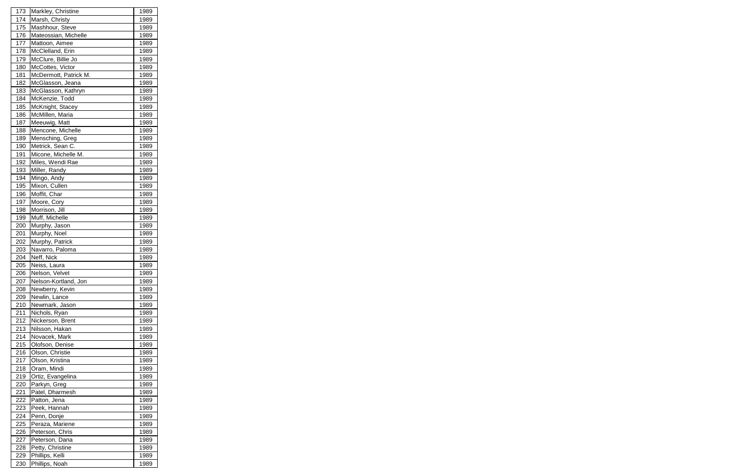| 173<br>174 |                                     |              |
|------------|-------------------------------------|--------------|
|            | Markley, Christine                  | 1989         |
|            | Marsh, Christy                      | 1989         |
| 175        | Mashhour, Steve                     | 1989         |
| 176        | Mateossian, Michelle                | 1989         |
| 177        | Mattoon, Aimee                      | 1989         |
| 178        | McClelland, Erin                    | 1989         |
| 179        | McClure, Billie Jo                  | 1989         |
| 180        | McCottes, Victor                    | 1989         |
| 181        | McDermott, Patrick M.               | 1989         |
| 182        | McGlasson, Jeana                    | 1989         |
| 183        | McGlasson, Kathryn                  | 1989         |
| 184        | McKenzie, Todd                      | 1989         |
| 185        | McKnight, Stacey                    | 1989         |
| 186        | McMillen, Maria                     | 1989         |
| 187        | Meeuwig, Matt                       | 1989         |
| 188        | Mencone, Michelle                   | 1989         |
| 189        | Mensching, Greg                     | 1989         |
| 190        | Metrick, Sean C.                    | 1989         |
| 191        | Micone, Michelle M.                 | 1989         |
| 192        | Miles, Wendi Rae                    | 1989         |
| 193        | Miller, Randy                       | 1989         |
| 194        | Mingo, Andy                         | 1989         |
| 195        | Mixon, Cullen                       | 1989         |
| 196        | Moffit, Char                        | 1989         |
| 197        | Moore, Cory                         | 1989         |
| 198        | Morrison, Jill                      | 1989         |
| 199        | Muff, Michelle                      | 1989         |
| 200        | Murphy, Jason                       | 1989         |
| 201        | Murphy, Noel                        | 1989         |
| 202        | Murphy, Patrick                     | 1989         |
| 203        | Navarro, Paloma                     | 1989         |
| 204        | Neff, Nick                          | 1989         |
| 205        | Neiss, Laura                        | 1989         |
| <b>206</b> | Nelson, Velvet                      |              |
|            |                                     |              |
|            |                                     | <u>1989</u>  |
| 207        | Nelson-Kortland, Jon                | 1989         |
| 208        | Newberry, Kevin                     | 1989         |
| 209        | Newlin, Lance                       | 1989         |
| 210        | Newmark, Jason                      | 1989         |
| 211        | Nichols, Ryan                       | 1989         |
| 212        | Nickerson, Brent                    | 1989         |
| 213        | Nilsson, Hakan                      | 1989         |
| 214        | Novacek, Mark<br>Olofson, Denise    | 1989         |
| 215        | Olson, Christie                     | 1989         |
| 216        |                                     | 1989         |
| 217        | Olson, Kristina                     | 1989         |
| 218        | Oram, Mindi                         | 1989         |
| 219        | Ortiz, Evangelina                   | 1989         |
| 220        | Parkyn, Greg                        | 1989         |
| 221        | Patel, Dharmesh                     | 1989         |
| 222        | Patton, Jena                        | 1989         |
| 223        | Peek, Hannah                        | 1989         |
| 224        | Penn, Donje                         | 1989         |
| 225        | Peraza, Mariene                     | 1989         |
| 226        | Peterson, Chris                     | 1989         |
| 227        | Peterson, Dana                      | 1989         |
| 228<br>229 | Petty, Christine<br>Phillips, Kelli | 1989<br>1989 |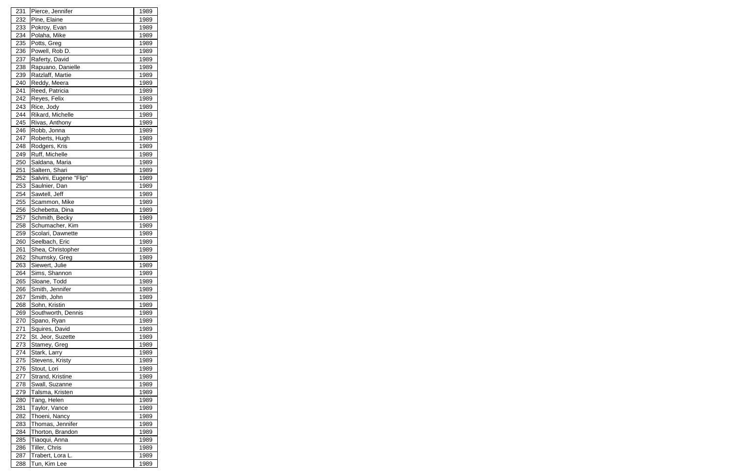| 231        | Pierce, Jennifer                | 1989         |
|------------|---------------------------------|--------------|
| 232        | Pine, Elaine                    | 1989         |
| 233        | Pokroy, Evan                    | 1989         |
| 234        | Polaha, Mike                    | 1989         |
| 235        | Potts, Greg                     | 1989         |
| 236        | Powell, Rob D.                  | 1989         |
| 237        | Raferty, David                  | 1989         |
| 238        | Rapuano, Danielle               | 1989         |
| 239        | Ratzlaff, Martie                | 1989         |
| 240        | Reddy, Meera                    | 1989         |
| 241        | Reed, Patricia                  | 1989         |
| 242        | Reyes, Felix                    | 1989         |
| 243        | Rice, Jody                      | 1989         |
| 244        | Rikard, Michelle                | 1989         |
| 245        | Rivas, Anthony                  | 1989         |
| 246        | Robb, Jonna                     | 1989         |
| 247        | Roberts, Hugh                   | 1989         |
| 248        | Rodgers, Kris                   | 1989         |
| 249        | Ruff, Michelle                  | 1989         |
| 250        | Saldana, Maria                  | 1989         |
| 251        | Saltern, Shari                  | 1989         |
| 252        | Salvini, Eugene "Flip"          | 1989         |
| 253        | Saulnier, Dan                   | 1989         |
| 254        | Sawtell, Jeff                   | 1989         |
| 255        | Scammon, Mike                   | 1989         |
| 256        | Schebetta, Dina                 | 1989         |
| 257        | Schmith, Becky                  | 1989         |
| 258        | Schumacher, Kim                 | 1989         |
| 259        | Scolari, Dawnette               | 1989         |
|            |                                 |              |
|            |                                 |              |
| 260<br>261 | Seelbach, Eric                  | 1989<br>1989 |
| 262        | Shea, Christopher               | 1989         |
| 263        | Shumsky, Greg<br>Siewert, Julie | 1989         |
| 264        |                                 |              |
|            | Sims, Shannon                   | 1989<br>1989 |
| 265<br>266 | Sloane, Todd<br>Smith, Jennifer | 1989         |
| 267        | Smith, John                     | 1989         |
| 268        | Sohn, Kristin                   | 1989         |
| 269        |                                 | 1989         |
| 270        | Southworth, Dennis              | 1989         |
| 271        | Spano, Ryan<br>Squires, David   | 1989         |
| 272        | St. Jeor, Suzette               | 1989         |
| 273        | Stamey, Greg                    | 1989         |
| 274        | Stark, Larry                    | 1989         |
| 275        | Stevens, Kristy                 | 1989         |
| 276        | Stout, Lori                     | 1989         |
| 277        | Strand, Kristine                | 1989         |
| 278        | Swall, Suzanne                  | 1989         |
| 279        | Talsma, Kristen                 | 1989         |
| 280        | Tang, Helen                     | 1989         |
| 281        | Taylor, Vance                   | 1989         |
| 282        | Thoeni, Nancy                   | 1989         |
| 283        | Thomas, Jennifer                | 1989         |
| 284        | Thorton, Brandon                | 1989         |
| 285        | Tiaoqui, Anna                   | 1989         |
| 286        | Tiller, Chris                   | 1989         |
| 287        | Trabert, Lora L.                | 1989         |